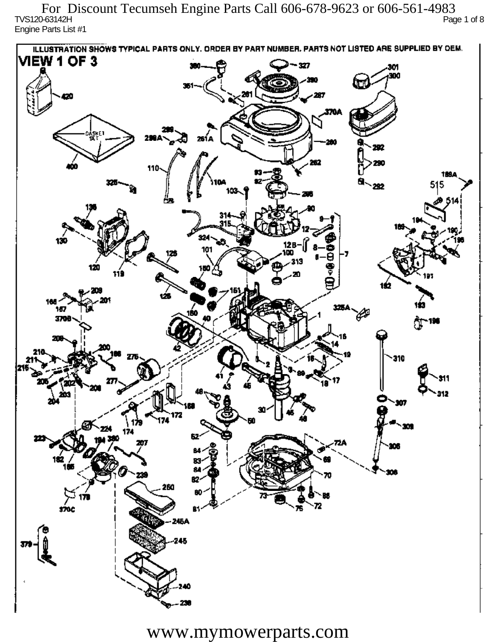TVS120-63142H Page 1 of 8 Engine Parts List #1 For Discount Tecumseh Engine Parts Call 606-678-9623 or 606-561-4983

ILLUSTRATION SHOWS TYPICAL PARTS ONLY. ORDER BY PART NUMBER, PARTS NOT LISTED ARE SUPPLIED BY DEM. **VIEW 1 OF 3** -327 301 300 20 370A iskF1 261 A ж 292 ж 110 1894 515 292 324 130 12 R 101 313 120 دھر 1ś2 ÚБ 160 167 160 P 3709 196 77 310 912 201 Ô,  $\mathbf{m}$ 172 174 174 182 ÷. ß2 260 72 sioc 76 Ŕ٦ 245A 245

www.mymowerparts.com

40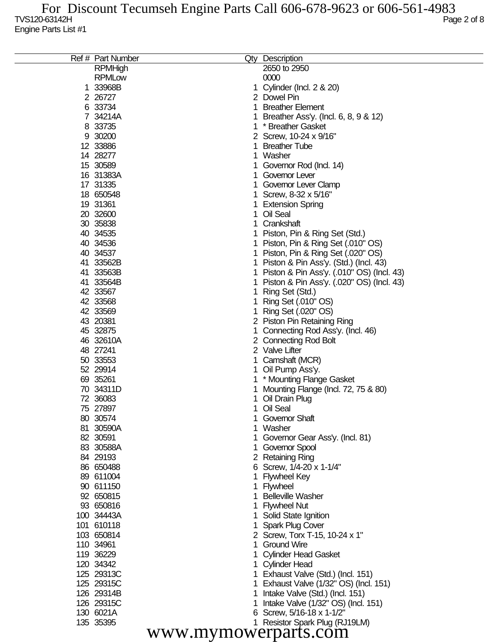|                      | Ref # Part Number |   | Qty Description                           |  |
|----------------------|-------------------|---|-------------------------------------------|--|
|                      | <b>RPMHigh</b>    |   | 2650 to 2950                              |  |
|                      | <b>RPMLow</b>     |   | 0000                                      |  |
|                      | 1 33968B          | 1 | Cylinder (Incl. 2 & 20)                   |  |
|                      | 2 26727           |   | 2 Dowel Pin                               |  |
|                      | 6 33734           | 1 | <b>Breather Element</b>                   |  |
|                      | 7 34214A          |   | Breather Ass'y. (Incl. 6, 8, 9 & 12)      |  |
|                      | 8 33735           | 1 | * Breather Gasket                         |  |
|                      | 9 30200           |   | 2 Screw, 10-24 x 9/16"                    |  |
|                      | 12 33886          |   | <b>Breather Tube</b>                      |  |
|                      | 14 28277          | 1 | Washer                                    |  |
|                      | 15 30589          |   | Governor Rod (Incl. 14)                   |  |
|                      | 16 31383A         |   | Governor Lever                            |  |
|                      | 17 31335          |   | Governor Lever Clamp                      |  |
|                      | 18 650548         |   | Screw, 8-32 x 5/16"                       |  |
|                      | 19 31361          |   | <b>Extension Spring</b>                   |  |
|                      | 20 32600          | 1 | Oil Seal                                  |  |
|                      | 30 35838          |   | Crankshaft                                |  |
|                      | 40 34535          |   | Piston, Pin & Ring Set (Std.)             |  |
|                      | 40 34536          | 1 | Piston, Pin & Ring Set (.010" OS)         |  |
|                      | 40 34537          | 1 | Piston, Pin & Ring Set (.020" OS)         |  |
|                      | 41 33562B         |   |                                           |  |
|                      | 41 33563B         | 1 | Piston & Pin Ass'y. (Std.) (Incl. 43)     |  |
|                      |                   | 1 | Piston & Pin Ass'y. (.010" OS) (Incl. 43) |  |
|                      | 41 33564B         | 1 | Piston & Pin Ass'y. (.020" OS) (Incl. 43) |  |
|                      | 42 33567          |   | Ring Set (Std.)                           |  |
|                      | 42 33568          |   | Ring Set (.010" OS)                       |  |
|                      | 42 33569          |   | Ring Set (.020" OS)                       |  |
|                      | 43 20381          |   | 2 Piston Pin Retaining Ring               |  |
|                      | 45 32875          | 1 | Connecting Rod Ass'y. (Incl. 46)          |  |
|                      | 46 32610A         |   | 2 Connecting Rod Bolt                     |  |
|                      | 48 27241          |   | 2 Valve Lifter                            |  |
|                      | 50 33553          |   | Camshaft (MCR)                            |  |
|                      | 52 29914          |   | Oil Pump Ass'y.                           |  |
|                      | 69 35261          |   | * Mounting Flange Gasket                  |  |
|                      | 70 34311D         |   | Mounting Flange (Incl. 72, 75 & 80)       |  |
|                      | 72 36083          |   | Oil Drain Plug                            |  |
|                      | 75 27897          |   | Oil Seal                                  |  |
|                      | 80 30574          |   | <b>Governor Shaft</b>                     |  |
|                      | 81 30590A         |   | Washer                                    |  |
|                      | 82 30591          |   | Governor Gear Ass'y. (Incl. 81)           |  |
|                      | 83 30588A         |   | Governor Spool                            |  |
|                      | 84 29193          |   | 2 Retaining Ring                          |  |
|                      | 86 650488         |   | Screw, 1/4-20 x 1-1/4"                    |  |
|                      | 89 611004         |   | <b>Flywheel Key</b>                       |  |
|                      | 90 611150         |   | Flywheel                                  |  |
|                      | 92 650815         |   | <b>Belleville Washer</b>                  |  |
|                      | 93 650816         |   | <b>Flywheel Nut</b>                       |  |
|                      | 100 34443A        |   | Solid State Ignition                      |  |
|                      | 101 610118        |   | <b>Spark Plug Cover</b>                   |  |
|                      | 103 650814        |   | 2 Screw, Torx T-15, 10-24 x 1"            |  |
|                      | 110 34961         |   | <b>Ground Wire</b>                        |  |
|                      | 119 36229         |   | <b>Cylinder Head Gasket</b>               |  |
|                      | 120 34342         |   | <b>Cylinder Head</b>                      |  |
|                      | 125 29313C        |   | Exhaust Valve (Std.) (Incl. 151)          |  |
|                      | 125 29315C        |   | Exhaust Valve (1/32" OS) (Incl. 151)      |  |
|                      | 126 29314B        |   | Intake Valve (Std.) (Incl. 151)           |  |
|                      | 126 29315C        |   | Intake Valve (1/32" OS) (Incl. 151)       |  |
|                      | 130 6021A         |   | Screw, 5/16-18 x 1-1/2"                   |  |
|                      | 135 35395         |   | 1 Resistor Spark Plug (RJ19LM)            |  |
| www.mymowerparts.com |                   |   |                                           |  |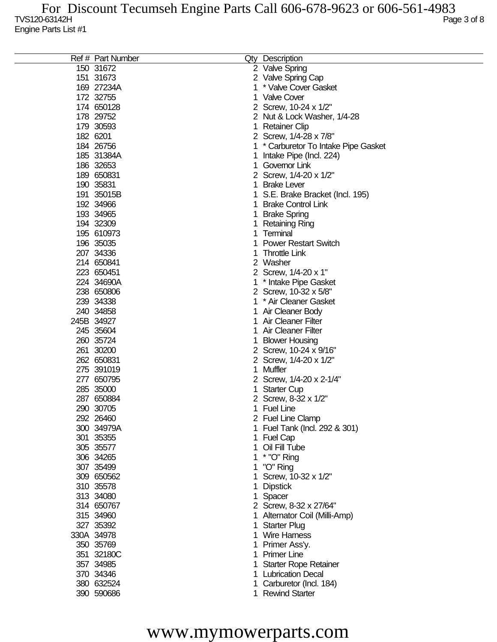| Ref # Part Number |   | Qty Description                    |
|-------------------|---|------------------------------------|
| 150 31672         |   | 2 Valve Spring                     |
| 151 31673         |   | 2 Valve Spring Cap                 |
| 169 27234A        | 1 | * Valve Cover Gasket               |
| 172 32755         |   | 1 Valve Cover                      |
| 174 650128        |   | 2 Screw, 10-24 x 1/2"              |
| 178 29752         |   | 2 Nut & Lock Washer, 1/4-28        |
| 179 30593         | 1 | Retainer Clip                      |
| 182 6201          |   |                                    |
|                   |   | 2 Screw, 1/4-28 x 7/8"             |
| 184 26756         |   | * Carburetor To Intake Pipe Gasket |
| 185 31384A        | 1 | Intake Pipe (Incl. 224)            |
| 186 32653         |   | Governor Link                      |
| 189 650831        |   | 2 Screw, 1/4-20 x 1/2"             |
| 190 35831         |   | <b>Brake Lever</b>                 |
| 191 35015B        |   | S.E. Brake Bracket (Incl. 195)     |
| 192 34966         |   | <b>Brake Control Link</b>          |
| 193 34965         | 1 | <b>Brake Spring</b>                |
| 194 32309         | 1 | Retaining Ring                     |
| 195 610973        |   | Terminal                           |
| 196 35035         |   | <b>Power Restart Switch</b>        |
| 207 34336         |   | <b>Throttle Link</b>               |
| 214 650841        |   | 2 Washer                           |
| 223 650451        |   | 2 Screw, 1/4-20 x 1"               |
| 224 34690A        |   |                                    |
|                   |   | * Intake Pipe Gasket               |
| 238 650806        |   | 2 Screw, 10-32 x 5/8"              |
| 239 34338         | 1 | * Air Cleaner Gasket               |
| 240 34858         | 1 | Air Cleaner Body                   |
| 245B 34927        |   | Air Cleaner Filter                 |
| 245 35604         |   | Air Cleaner Filter                 |
| 260 35724         |   | <b>Blower Housing</b>              |
| 261 30200         |   | 2 Screw, 10-24 x 9/16"             |
| 262 650831        |   | 2 Screw, 1/4-20 x 1/2"             |
| 275 391019        |   | Muffler                            |
| 277 650795        |   | 2 Screw, 1/4-20 x 2-1/4"           |
| 285 35000         |   | Starter Cup                        |
| 287 650884        |   | 2 Screw, 8-32 x 1/2"               |
| 290 30705         |   | 1 Fuel Line                        |
| 292 26460         |   | 2 Fuel Line Clamp                  |
| 300 34979A        |   | Fuel Tank (Incl. 292 & 301)        |
| 301 35355         |   | <b>Fuel Cap</b>                    |
| 305 35577         |   | Oil Fill Tube                      |
| 306 34265         |   | * "O" Ring                         |
| 307 35499         |   | "O" Ring                           |
| 309 650562        |   | Screw, 10-32 x 1/2"                |
| 310 35578         |   | <b>Dipstick</b>                    |
| 313 34080         |   | Spacer                             |
| 314 650767        |   | 2 Screw, 8-32 x 27/64"             |
| 315 34960         |   |                                    |
|                   | 1 | Alternator Coil (Milli-Amp)        |
| 327 35392         | 1 | <b>Starter Plug</b>                |
| 330A 34978        | 1 | <b>Wire Harness</b>                |
| 350 35769         | 1 | Primer Ass'y.                      |
| 351 32180C        | 1 | <b>Primer Line</b>                 |
| 357 34985         |   | <b>Starter Rope Retainer</b>       |
| 370 34346         |   | <b>Lubrication Decal</b>           |
| 380 632524        |   | Carburetor (Incl. 184)             |
| 390 590686        |   | 1 Rewind Starter                   |
|                   |   |                                    |

## www.mymowerparts.com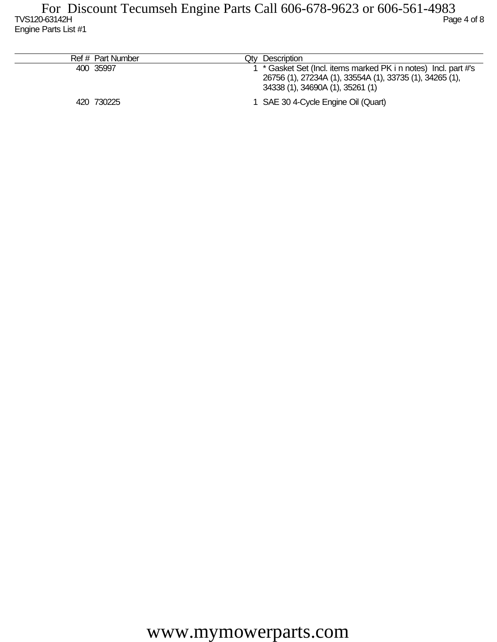| Ref # Part Number | Qty Description                                                                                                                                               |
|-------------------|---------------------------------------------------------------------------------------------------------------------------------------------------------------|
| 400 35997         | * Gasket Set (Incl. items marked PK i n notes) Incl. part #'s<br>26756 (1), 27234A (1), 33554A (1), 33735 (1), 34265 (1),<br>34338 (1), 34690A (1), 35261 (1) |
| 420 730225        | 1 SAE 30 4-Cycle Engine Oil (Quart)                                                                                                                           |

www.mymowerparts.com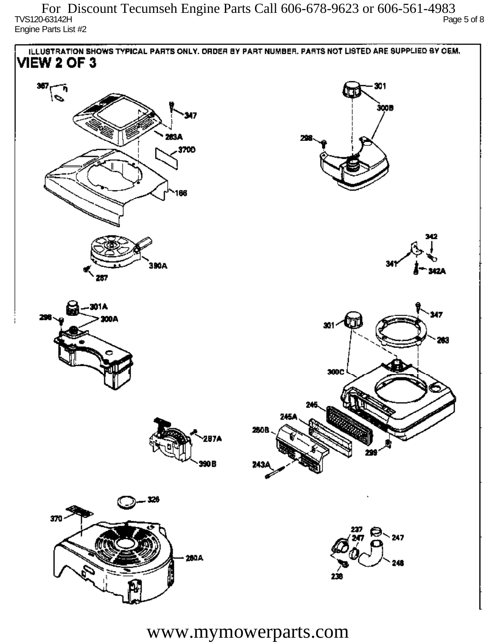$\sim$  TVS120-63142H Page 5 of 8 Engine Parts List #2 For Discount Tecumseh Engine Parts Call 606-678-9623 or 606-561-4983



www.mymowerparts.com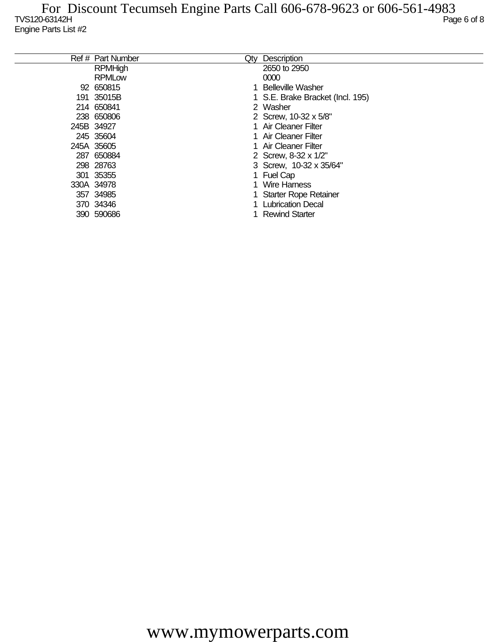| Ref # Part Number | Qty | Description                      |
|-------------------|-----|----------------------------------|
| <b>RPMHigh</b>    |     | 2650 to 2950                     |
| <b>RPMLow</b>     |     | 0000                             |
| 92 650815         |     | 1 Belleville Washer              |
| 191 35015B        |     | 1 S.E. Brake Bracket (Incl. 195) |
| 214 650841        |     | 2 Washer                         |
| 238 650806        |     | 2 Screw, 10-32 x 5/8"            |
| 245B 34927        |     | 1 Air Cleaner Filter             |
| 245 35604         |     | 1 Air Cleaner Filter             |
| 245A 35605        |     | 1 Air Cleaner Filter             |
| 287 650884        |     | 2 Screw, 8-32 x 1/2"             |
| 298 28763         |     | 3 Screw, 10-32 x 35/64"          |
| 301 35355         |     | 1 Fuel Cap                       |
| 330A 34978        |     | Wire Harness                     |
| 357 34985         |     | <b>Starter Rope Retainer</b>     |
| 370 34346         |     | <b>Lubrication Decal</b>         |
| 390 590686        |     | <b>Rewind Starter</b>            |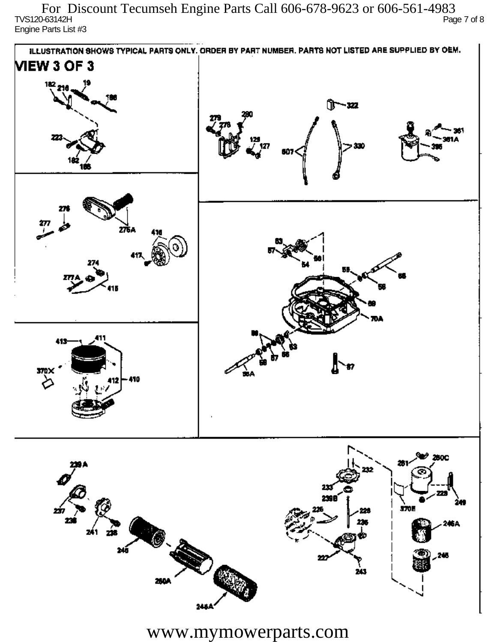TVS120-63142H Page 7 of 8 Engine Parts List #3 For Discount Tecumseh Engine Parts Call 606-678-9623 or 606-561-4983



www.mymowerparts.com